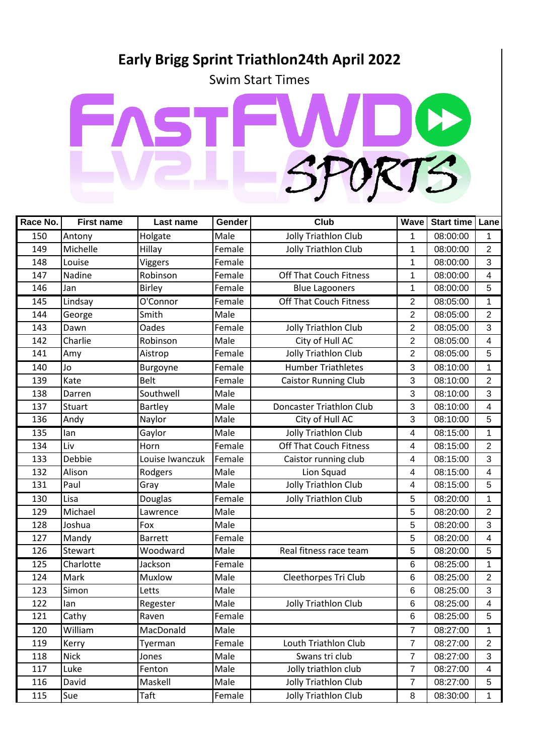## **Early Brigg Sprint Triathlon24th April 2022**

Swim Start Times



| Race No. | <b>First name</b> | Last name       | Gender | <b>Club</b>                     | Wave                     | Start time   Lane |                |
|----------|-------------------|-----------------|--------|---------------------------------|--------------------------|-------------------|----------------|
| 150      | Antony            | Holgate         | Male   | <b>Jolly Triathlon Club</b>     | 1                        | 08:00:00          | 1              |
| 149      | Michelle          | Hillay          | Female | <b>Jolly Triathlon Club</b>     | 1                        | 08:00:00          | $\overline{2}$ |
| 148      | Louise            | <b>Viggers</b>  | Female |                                 | 1                        | 08:00:00          | 3              |
| 147      | Nadine            | Robinson        | Female | <b>Off That Couch Fitness</b>   | 1                        | 08:00:00          | 4              |
| 146      | Jan               | <b>Birley</b>   | Female | <b>Blue Lagooners</b>           | 1                        | 08:00:00          | 5              |
| 145      | Lindsay           | O'Connor        | Female | <b>Off That Couch Fitness</b>   | 2                        | 08:05:00          | 1              |
| 144      | George            | Smith           | Male   |                                 | $\overline{2}$           | 08:05:00          | $\overline{2}$ |
| 143      | Dawn              | <b>Oades</b>    | Female | <b>Jolly Triathlon Club</b>     | $\overline{2}$           | 08:05:00          | 3              |
| 142      | Charlie           | Robinson        | Male   | City of Hull AC                 | $\overline{2}$           | 08:05:00          | $\overline{4}$ |
| 141      | Amy               | Aistrop         | Female | <b>Jolly Triathlon Club</b>     | $\overline{2}$           | 08:05:00          | 5              |
| 140      | Jo                | Burgoyne        | Female | <b>Humber Triathletes</b>       | 3                        | 08:10:00          | 1              |
| 139      | Kate              | <b>Belt</b>     | Female | Caistor Running Club            | 3                        | 08:10:00          | $\overline{2}$ |
| 138      | Darren            | Southwell       | Male   |                                 | 3                        | 08:10:00          | 3              |
| 137      | <b>Stuart</b>     | Bartley         | Male   | <b>Doncaster Triathlon Club</b> | 3                        | 08:10:00          | 4              |
| 136      | Andy              | Naylor          | Male   | City of Hull AC                 | 3                        | 08:10:00          | 5              |
| 135      | lan               | Gaylor          | Male   | <b>Jolly Triathlon Club</b>     | 4                        | 08:15:00          | 1              |
| 134      | Liv               | Horn            | Female | <b>Off That Couch Fitness</b>   | $\overline{\mathcal{A}}$ | 08:15:00          | $\overline{2}$ |
| 133      | Debbie            | Louise Iwanczuk | Female | Caistor running club            | 4                        | 08:15:00          | 3              |
| 132      | Alison            | Rodgers         | Male   | Lion Squad                      | 4                        | 08:15:00          | 4              |
| 131      | Paul              | Gray            | Male   | <b>Jolly Triathlon Club</b>     | 4                        | 08:15:00          | 5              |
| 130      | Lisa              | Douglas         | Female | <b>Jolly Triathlon Club</b>     | 5                        | 08:20:00          | 1              |
| 129      | Michael           | Lawrence        | Male   |                                 | 5                        | 08:20:00          | 2              |
| 128      | Joshua            | Fox             | Male   |                                 | 5                        | 08:20:00          | 3              |
| 127      | Mandy             | <b>Barrett</b>  | Female |                                 | 5                        | 08:20:00          | $\overline{4}$ |
| 126      | Stewart           | Woodward        | Male   | Real fitness race team          | 5                        | 08:20:00          | 5              |
| 125      | Charlotte         | Jackson         | Female |                                 | 6                        | 08:25:00          | 1              |
| 124      | Mark              | Muxlow          | Male   | Cleethorpes Tri Club            | 6                        | 08:25:00          | $\overline{2}$ |
| 123      | Simon             | Letts           | Male   |                                 | 6                        | 08:25:00          | 3              |
| 122      | lan               | Regester        | Male   | <b>Jolly Triathlon Club</b>     | 6                        | 08:25:00          | $\overline{4}$ |
| 121      | Cathy             | Raven           | Female |                                 | 6                        | 08:25:00          | 5              |
| 120      | William           | MacDonald       | Male   |                                 | $\overline{7}$           | 08:27:00          | $\mathbf{1}$   |
| 119      | Kerry             | Tyerman         | Female | Louth Triathlon Club            | $\overline{7}$           | 08:27:00          | $\overline{2}$ |
| 118      | <b>Nick</b>       | Jones           | Male   | Swans tri club                  | $\overline{7}$           | 08:27:00          | 3              |
| 117      | Luke              | Fenton          | Male   | Jolly triathlon club            | $\overline{7}$           | 08:27:00          | 4              |
| 116      | David             | Maskell         | Male   | Jolly Triathlon Club            | $\overline{7}$           | 08:27:00          | 5              |
| 115      | Sue               | Taft            | Female | <b>Jolly Triathlon Club</b>     | 8                        | 08:30:00          | $\mathbf{1}$   |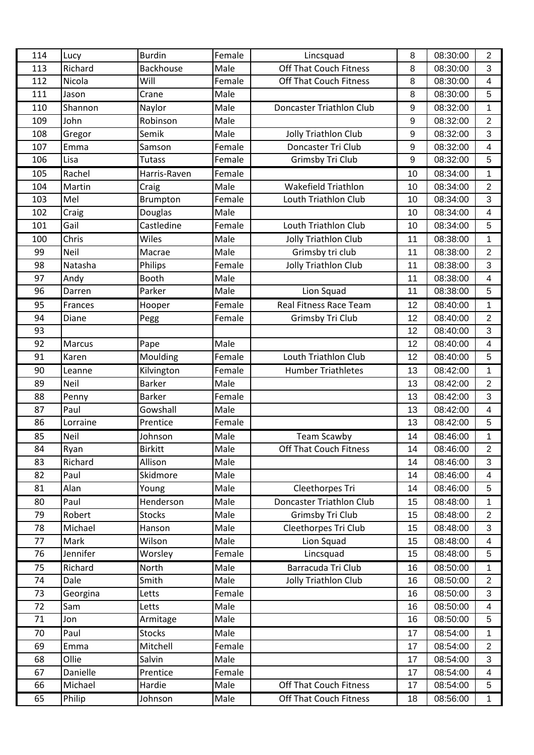| 114 | Lucy        | <b>Burdin</b>    | Female | Lincsquad                       | 8  | 08:30:00 | $\overline{2}$          |
|-----|-------------|------------------|--------|---------------------------------|----|----------|-------------------------|
| 113 | Richard     | <b>Backhouse</b> | Male   | <b>Off That Couch Fitness</b>   | 8  | 08:30:00 | 3                       |
| 112 | Nicola      | Will             | Female | <b>Off That Couch Fitness</b>   | 8  | 08:30:00 | 4                       |
| 111 | Jason       | Crane            | Male   |                                 | 8  | 08:30:00 | 5                       |
| 110 | Shannon     | Naylor           | Male   | Doncaster Triathlon Club        | 9  | 08:32:00 | 1                       |
| 109 | John        | Robinson         | Male   |                                 | 9  | 08:32:00 | $\overline{2}$          |
| 108 | Gregor      | Semik            | Male   | Jolly Triathlon Club            | 9  | 08:32:00 | 3                       |
| 107 | Emma        | Samson           | Female | Doncaster Tri Club              | 9  | 08:32:00 | 4                       |
| 106 | Lisa        | <b>Tutass</b>    | Female | Grimsby Tri Club                | 9  | 08:32:00 | 5                       |
| 105 | Rachel      | Harris-Raven     | Female |                                 | 10 | 08:34:00 | 1                       |
| 104 | Martin      | Craig            | Male   | Wakefield Triathlon             | 10 | 08:34:00 | $\overline{2}$          |
| 103 | Mel         | Brumpton         | Female | Louth Triathlon Club            | 10 | 08:34:00 | 3                       |
| 102 | Craig       | Douglas          | Male   |                                 | 10 | 08:34:00 | $\overline{4}$          |
| 101 | Gail        | Castledine       | Female | Louth Triathlon Club            | 10 | 08:34:00 | 5                       |
| 100 | Chris       | Wiles            | Male   | <b>Jolly Triathlon Club</b>     | 11 | 08:38:00 | 1                       |
| 99  | <b>Neil</b> | Macrae           | Male   | Grimsby tri club                | 11 | 08:38:00 | $\overline{2}$          |
| 98  | Natasha     | Philips          | Female | <b>Jolly Triathlon Club</b>     | 11 | 08:38:00 | 3                       |
| 97  | Andy        | Booth            | Male   |                                 | 11 | 08:38:00 | $\overline{\mathbf{4}}$ |
| 96  | Darren      | Parker           | Male   | Lion Squad                      | 11 | 08:38:00 | 5                       |
| 95  | Frances     | Hooper           | Female | <b>Real Fitness Race Team</b>   | 12 | 08:40:00 | 1                       |
| 94  | Diane       | Pegg             | Female | Grimsby Tri Club                | 12 | 08:40:00 | $\overline{2}$          |
| 93  |             |                  |        |                                 | 12 | 08:40:00 | 3                       |
| 92  | Marcus      | Pape             | Male   |                                 | 12 | 08:40:00 | $\overline{4}$          |
| 91  | Karen       | Moulding         | Female | Louth Triathlon Club            | 12 | 08:40:00 | 5                       |
| 90  | Leanne      | Kilvington       | Female | <b>Humber Triathletes</b>       | 13 | 08:42:00 | 1                       |
| 89  | <b>Neil</b> | <b>Barker</b>    | Male   |                                 | 13 | 08:42:00 | $\overline{2}$          |
| 88  | Penny       | <b>Barker</b>    | Female |                                 | 13 | 08:42:00 | 3                       |
| 87  | Paul        | Gowshall         | Male   |                                 | 13 | 08:42:00 | 4                       |
| 86  | Lorraine    | Prentice         | Female |                                 | 13 | 08:42:00 | 5                       |
| 85  | Neil        | Johnson          | Male   | <b>Team Scawby</b>              | 14 | 08:46:00 | 1                       |
| 84  | Ryan        | <b>Birkitt</b>   | Male   | Off That Couch Fitness          | 14 | 08:46:00 | $\overline{c}$          |
| 83  | Richard     | Allison          | Male   |                                 | 14 | 08:46:00 | 3                       |
| 82  | Paul        | Skidmore         | Male   |                                 | 14 | 08:46:00 | 4                       |
| 81  | Alan        | Young            | Male   | Cleethorpes Tri                 | 14 | 08:46:00 | 5                       |
| 80  | Paul        | Henderson        | Male   | <b>Doncaster Triathlon Club</b> | 15 | 08:48:00 | 1                       |
| 79  | Robert      | <b>Stocks</b>    | Male   | Grimsby Tri Club                | 15 | 08:48:00 | $\overline{2}$          |
| 78  | Michael     | Hanson           | Male   | Cleethorpes Tri Club            | 15 | 08:48:00 | 3                       |
| 77  | Mark        | Wilson           | Male   | Lion Squad                      | 15 | 08:48:00 | 4                       |
| 76  | Jennifer    | Worsley          | Female | Lincsquad                       | 15 | 08:48:00 | 5                       |
| 75  | Richard     | North            | Male   | Barracuda Tri Club              | 16 | 08:50:00 | 1                       |
| 74  | Dale        | Smith            | Male   | <b>Jolly Triathlon Club</b>     | 16 | 08:50:00 | $\overline{2}$          |
| 73  | Georgina    | Letts            | Female |                                 | 16 | 08:50:00 | 3                       |
| 72  | Sam         | Letts            | Male   |                                 | 16 | 08:50:00 | $\overline{4}$          |
| 71  | Jon         | Armitage         | Male   |                                 | 16 | 08:50:00 | 5                       |
| 70  | Paul        | <b>Stocks</b>    | Male   |                                 | 17 | 08:54:00 | 1                       |
| 69  | Emma        | Mitchell         | Female |                                 | 17 | 08:54:00 | $\overline{2}$          |
| 68  | Ollie       | Salvin           | Male   |                                 | 17 | 08:54:00 | 3                       |
| 67  | Danielle    | Prentice         | Female |                                 | 17 | 08:54:00 | $\overline{4}$          |
| 66  | Michael     | Hardie           | Male   | <b>Off That Couch Fitness</b>   | 17 | 08:54:00 | 5                       |
| 65  | Philip      | Johnson          | Male   | <b>Off That Couch Fitness</b>   | 18 | 08:56:00 | $\mathbf 1$             |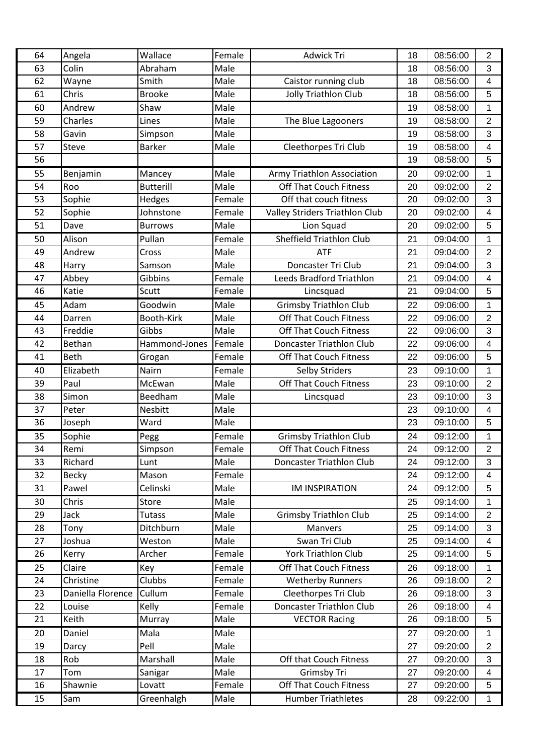| 64 | Angela            | Wallace          | Female | <b>Adwick Tri</b>               | 18 | 08:56:00 | $\overline{2}$          |
|----|-------------------|------------------|--------|---------------------------------|----|----------|-------------------------|
| 63 | Colin             | Abraham          | Male   |                                 | 18 | 08:56:00 | 3                       |
| 62 | Wayne             | Smith            | Male   | Caistor running club            | 18 | 08:56:00 | 4                       |
| 61 | Chris             | <b>Brooke</b>    | Male   | Jolly Triathlon Club            | 18 | 08:56:00 | 5                       |
| 60 | Andrew            | Shaw             | Male   |                                 | 19 | 08:58:00 | 1                       |
| 59 | Charles           | Lines            | Male   | The Blue Lagooners              | 19 | 08:58:00 | $\overline{2}$          |
| 58 | Gavin             | Simpson          | Male   |                                 | 19 | 08:58:00 | 3                       |
| 57 | Steve             | <b>Barker</b>    | Male   | Cleethorpes Tri Club            | 19 | 08:58:00 | $\overline{4}$          |
| 56 |                   |                  |        |                                 | 19 | 08:58:00 | 5                       |
| 55 | Benjamin          | Mancey           | Male   | Army Triathlon Association      | 20 | 09:02:00 | 1                       |
| 54 | Roo               | <b>Butterill</b> | Male   | <b>Off That Couch Fitness</b>   | 20 | 09:02:00 | $\overline{2}$          |
| 53 | Sophie            | Hedges           | Female | Off that couch fitness          | 20 | 09:02:00 | 3                       |
| 52 | Sophie            | Johnstone        | Female | Valley Striders Triathlon Club  | 20 | 09:02:00 | $\overline{\mathbf{4}}$ |
| 51 | Dave              | <b>Burrows</b>   | Male   | Lion Squad                      | 20 | 09:02:00 | 5                       |
| 50 | Alison            | Pullan           | Female | <b>Sheffield Triathlon Club</b> | 21 | 09:04:00 | 1                       |
| 49 | Andrew            | Cross            | Male   | <b>ATF</b>                      | 21 | 09:04:00 | $\overline{2}$          |
| 48 | Harry             | Samson           | Male   | Doncaster Tri Club              | 21 | 09:04:00 | 3                       |
| 47 | Abbey             | Gibbins          | Female | <b>Leeds Bradford Triathlon</b> | 21 | 09:04:00 | 4                       |
| 46 | Katie             | Scutt            | Female | Lincsquad                       | 21 | 09:04:00 | 5                       |
| 45 | Adam              | Goodwin          | Male   | <b>Grimsby Triathlon Club</b>   | 22 | 09:06:00 | 1                       |
| 44 | Darren            | Booth-Kirk       | Male   | <b>Off That Couch Fitness</b>   | 22 | 09:06:00 | $\overline{2}$          |
| 43 | Freddie           | Gibbs            | Male   | <b>Off That Couch Fitness</b>   | 22 | 09:06:00 | 3                       |
| 42 | Bethan            | Hammond-Jones    | Female | <b>Doncaster Triathlon Club</b> | 22 | 09:06:00 | 4                       |
| 41 | <b>Beth</b>       | Grogan           | Female | <b>Off That Couch Fitness</b>   | 22 | 09:06:00 | 5                       |
| 40 | Elizabeth         | Nairn            | Female | Selby Striders                  | 23 | 09:10:00 | 1                       |
| 39 | Paul              | McEwan           | Male   | <b>Off That Couch Fitness</b>   | 23 | 09:10:00 | $\overline{2}$          |
| 38 | Simon             | Beedham          | Male   | Lincsquad                       | 23 | 09:10:00 | 3                       |
| 37 | Peter             | <b>Nesbitt</b>   | Male   |                                 | 23 | 09:10:00 | 4                       |
| 36 | Joseph            | Ward             | Male   |                                 | 23 | 09:10:00 | 5                       |
| 35 | Sophie            | Pegg             | Female | <b>Grimsby Triathlon Club</b>   | 24 | 09:12:00 | 1                       |
| 34 | Remi              | Simpson          | Female | <b>Off That Couch Fitness</b>   | 24 | 09:12:00 | $\overline{2}$          |
| 33 | Richard           | Lunt             | Male   | Doncaster Triathlon Club        | 24 | 09:12:00 | 3                       |
| 32 | Becky             | Mason            | Female |                                 | 24 | 09:12:00 | 4                       |
| 31 | Pawel             | Celinski         | Male   | <b>IM INSPIRATION</b>           | 24 | 09:12:00 | 5                       |
| 30 | Chris             | Store            | Male   |                                 | 25 | 09:14:00 | 1                       |
| 29 | Jack              | <b>Tutass</b>    | Male   | <b>Grimsby Triathlon Club</b>   | 25 | 09:14:00 | $\overline{2}$          |
| 28 | Tony              | Ditchburn        | Male   | <b>Manvers</b>                  | 25 | 09:14:00 | 3                       |
| 27 | Joshua            | Weston           | Male   | Swan Tri Club                   | 25 | 09:14:00 | $\overline{4}$          |
| 26 | Kerry             | Archer           | Female | <b>York Triathlon Club</b>      | 25 | 09:14:00 | 5                       |
| 25 | Claire            | Key              | Female | <b>Off That Couch Fitness</b>   | 26 | 09:18:00 | 1                       |
| 24 | Christine         | Clubbs           | Female | <b>Wetherby Runners</b>         | 26 | 09:18:00 | $\overline{2}$          |
| 23 | Daniella Florence | Cullum           | Female | Cleethorpes Tri Club            | 26 | 09:18:00 | 3                       |
| 22 | Louise            | Kelly            | Female | Doncaster Triathlon Club        | 26 | 09:18:00 | $\overline{4}$          |
| 21 | Keith             | Murray           | Male   | <b>VECTOR Racing</b>            | 26 | 09:18:00 | 5                       |
| 20 | Daniel            | Mala             | Male   |                                 | 27 | 09:20:00 | 1                       |
| 19 | Darcy             | Pell             | Male   |                                 | 27 | 09:20:00 | $\overline{2}$          |
| 18 | Rob               | Marshall         | Male   | Off that Couch Fitness          | 27 | 09:20:00 | 3                       |
| 17 | Tom               | Sanigar          | Male   | Grimsby Tri                     | 27 | 09:20:00 | 4                       |
| 16 | Shawnie           | Lovatt           | Female | <b>Off That Couch Fitness</b>   | 27 | 09:20:00 | 5                       |
| 15 | Sam               | Greenhalgh       | Male   | <b>Humber Triathletes</b>       | 28 | 09:22:00 | $\mathbf{1}$            |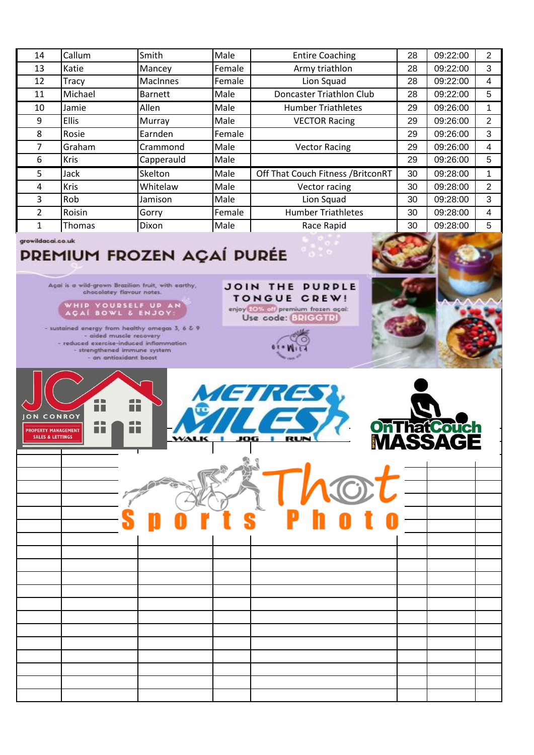| 14             | Callum        | Smith           | Male   | <b>Entire Coaching</b>             | 28 | 09:22:00 | 2 |
|----------------|---------------|-----------------|--------|------------------------------------|----|----------|---|
| 13             | Katie         | Mancey          | Female | Army triathlon                     | 28 | 09:22:00 | 3 |
| 12             | Tracy         | <b>MacInnes</b> | Female | Lion Squad                         | 28 | 09:22:00 | 4 |
| 11             | Michael       | <b>Barnett</b>  | Male   | Doncaster Triathlon Club           | 28 | 09:22:00 | 5 |
| 10             | Jamie         | Allen           | Male   | <b>Humber Triathletes</b>          | 29 | 09:26:00 |   |
| 9              | <b>Ellis</b>  | Murray          | Male   | <b>VECTOR Racing</b>               | 29 | 09:26:00 | 2 |
| 8              | Rosie         | Earnden         | Female |                                    | 29 | 09:26:00 | 3 |
| 7              | Graham        | Crammond        | Male   | <b>Vector Racing</b>               | 29 | 09:26:00 | 4 |
| 6              | <b>Kris</b>   | Capperauld      | Male   |                                    | 29 | 09:26:00 | 5 |
| 5              | Jack          | Skelton         | Male   | Off That Couch Fitness / BritconRT | 30 | 09:28:00 |   |
| 4              | <b>Kris</b>   | Whitelaw        | Male   | Vector racing                      | 30 | 09:28:00 | 2 |
| 3              | Rob           | Jamison         | Male   | Lion Squad                         | 30 | 09:28:00 | 3 |
| $\overline{2}$ | Roisin        | Gorry           | Female | <b>Humber Triathletes</b>          | 30 | 09:28:00 | 4 |
|                | <b>Thomas</b> | Dixon           | Male   | Race Rapid                         | 30 | 09:28:00 | 5 |

growildacai.co.uk

## **PREMIUM FROZEN AÇAÍ PURÉE**

Agai is a wild-grown Brazilian fruit, with earthy,<br>chocolatey flavour notes.

WHIP YOURSELF UP AN

- sustained energy from healthy omegas 3, 6 & 9 - aided muscle recovery - reduced exercise-induced inflammation<br>- strengthened immune system - an antioxidant boost



JOIN THE PURPLE TONGUE CREW!

enjoy 20% off premium frozen açai: Use code: BRIGGTRI

|  | $\mathbf{D}$ | <b>SATAOTE</b> |  |  |
|--|--------------|----------------|--|--|
|  |              |                |  |  |
|  |              |                |  |  |
|  |              |                |  |  |
|  |              |                |  |  |
|  |              |                |  |  |
|  |              |                |  |  |
|  |              |                |  |  |
|  |              |                |  |  |
|  |              |                |  |  |
|  |              |                |  |  |
|  |              |                |  |  |
|  |              |                |  |  |